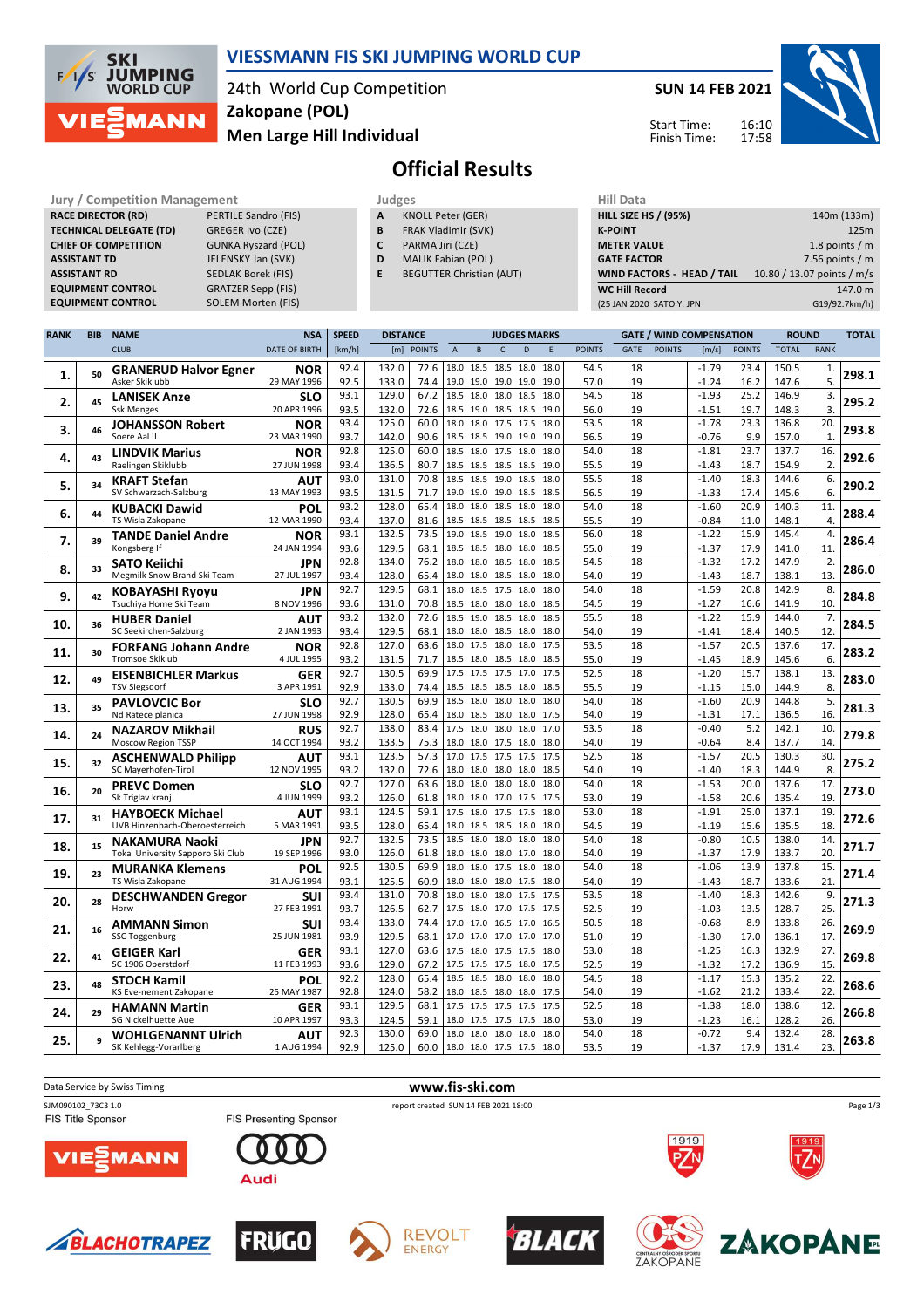

### **VIESSMANN FIS SKI JUMPING WORLD CUP**

24th World Cup Competition **Men Large Hill Individual Zakopane (POL)**

**SUN 14 FEB 2021**



Start Time: Finish Time:

# **Official Results**

| Jury / Competition Management  |                             |
|--------------------------------|-----------------------------|
| <b>RACE DIRECTOR (RD)</b>      | <b>PERTILE Sandro (FIS)</b> |
| <b>TECHNICAL DELEGATE (TD)</b> | <b>GREGER Ivo (CZE)</b>     |
| <b>CHIEF OF COMPETITION</b>    | <b>GUNKA Ryszard (POL</b>   |
| <b>ASSISTANT TD</b>            | JELENSKY Jan (SVK)          |
| <b>ASSISTANT RD</b>            | <b>SEDLAK Borek (FIS)</b>   |
| <b>EQUIPMENT CONTROL</b>       | <b>GRATZER Sepp (FIS)</b>   |
| <b>EQUIPMENT CONTROL</b>       | SOLEM Morten (FIS)          |

| <b>Jury / Competition Management</b> |                            | Judges |                            | <b>Hill Data</b>   |
|--------------------------------------|----------------------------|--------|----------------------------|--------------------|
| <b>RACE DIRECTOR (RD)</b>            | PERTILE Sandro (FIS)       |        | KNOLL Peter (GER)          | <b>HILL SIZE H</b> |
| <b>TECHNICAL DELEGATE (TD)</b>       | <b>GREGER Ivo (CZE)</b>    |        | <b>FRAK Vladimir (SVK)</b> | <b>K-POINT</b>     |
| <b>CHIEF OF COMPETITION</b>          | <b>GUNKA Ryszard (POL)</b> |        | PARMA Jiri (CZE)           | <b>METER VA</b>    |

- **D** MALIK Fabian (POL)
- **E** BEGUTTER Christian (AUT)

| <b>HILL SIZE HS / (95%)</b>       | 140m (133m)                |
|-----------------------------------|----------------------------|
| <b>K-POINT</b>                    | 125m                       |
| <b>METER VALUE</b>                | 1.8 points $/m$            |
| <b>GATE FACTOR</b>                | 7.56 points $/m$           |
| <b>WIND FACTORS - HEAD / TAIL</b> | 10.80 / 13.07 points / m/s |
| <b>WC Hill Record</b>             | 147.0 m                    |
| (25 JAN 2020 SATO Y. JPN          | G19/92.7km/h)              |
|                                   |                            |

| <b>RANK</b> | <b>BIB</b> | <b>NAME</b>                                  | <b>NSA</b>                | <b>SPEED</b> | <b>DISTANCE</b> |              |                | <b>JUDGES MARKS</b>                        |                |      |              | <b>GATE / WIND COMPENSATION</b> |             |               | <b>ROUND</b>       |               | <b>TOTAL</b>   |              |       |
|-------------|------------|----------------------------------------------|---------------------------|--------------|-----------------|--------------|----------------|--------------------------------------------|----------------|------|--------------|---------------------------------|-------------|---------------|--------------------|---------------|----------------|--------------|-------|
|             |            | <b>CLUB</b>                                  | <b>DATE OF BIRTH</b>      | [km/h]       |                 | [m] POINTS   | $\overline{A}$ | B                                          | $\mathsf{C}$   | D    | F            | <b>POINTS</b>                   | <b>GATE</b> | <b>POINTS</b> | [m/s]              | <b>POINTS</b> | <b>TOTAL</b>   | <b>RANK</b>  |       |
|             |            | <b>GRANERUD Halvor Egner</b>                 | <b>NOR</b>                | 92.4         | 132.0           | 72.6         |                | 18.0 18.5 18.5 18.0                        |                |      | 18.0         | 54.5                            | 18          |               | $-1.79$            | 23.4          | 150.5          | 1.           |       |
| 1.          | 50         | Asker Skiklubb                               | 29 MAY 1996               | 92.5         | 133.0           | 74.4         |                | 19.0 19.0 19.0 19.0                        |                |      | 19.0         | 57.0                            | 19          |               | $-1.24$            | 16.2          | 147.6          | 5.           | 298.1 |
|             |            | <b>LANISEK Anze</b>                          | <b>SLO</b>                | 93.1         | 129.0           | 67.2         | 18.5           | 18.0 18.0 18.5                             |                |      | 18.0         | 54.5                            | 18          |               | $-1.93$            | 25.2          | 146.9          | 3.           |       |
| 2.          | 45         | <b>Ssk Menges</b>                            | 20 APR 1996               | 93.5         | 132.0           | 72.6         |                | 18.5 19.0 18.5 18.5                        |                |      | 19.0         | 56.0                            | 19          |               | $-1.51$            | 19.7          | 148.3          | 3.           | 295.2 |
| 3.          | 46         | <b>JOHANSSON Robert</b>                      | <b>NOR</b>                | 93.4         | 125.0           | 60.0         | 18.0           | 18.0 17.5 17.5                             |                |      | 18.0         | 53.5                            | 18          |               | $-1.78$            | 23.3          | 136.8          | 20.          | 293.8 |
|             |            | Soere Aal IL                                 | 23 MAR 1990               | 93.7         | 142.0           | 90.6         |                | 18.5 18.5 19.0 19.0                        |                |      | 19.0         | 56.5                            | 19          |               | $-0.76$            | 9.9           | 157.0          | $\mathbf{1}$ |       |
| 4.          | 43         | <b>LINDVIK Marius</b>                        | NOR                       | 92.8         | 125.0           | 60.0         | 18.5           | 18.0 17.5 18.0                             |                |      | 18.0         | 54.0                            | 18          |               | $-1.81$            | 23.7          | 137.7          | 16.          | 292.6 |
|             |            | Raelingen Skiklubb                           | 27 JUN 1998               | 93.4         | 136.5           | 80.7         |                | 18.5 18.5 18.5 18.5                        |                |      | 19.0         | 55.5                            | 19          |               | $-1.43$            | 18.7          | 154.9          | 2.           |       |
| 5.          | 34         | <b>KRAFT Stefan</b>                          | AUT                       | 93.0         | 131.0           | 70.8         |                | 18.5 18.5 19.0 18.5                        |                |      | 18.0         | 55.5                            | 18          |               | $-1.40$            | 18.3          | 144.6          | 6.           | 290.2 |
|             |            | SV Schwarzach-Salzburg                       | 13 MAY 1993               | 93.5         | 131.5           | 71.7         |                | 19.0 19.0 19.0 18.5                        |                |      | 18.5         | 56.5                            | 19          |               | $-1.33$            | 17.4          | 145.6          | 6.           |       |
| 6.          | 44         | <b>KUBACKI Dawid</b>                         | POL                       | 93.2         | 128.0           | 65.4         | 18.0           | 18.0 18.5 18.0                             |                |      | 18.0         | 54.0                            | 18          |               | $-1.60$            | 20.9          | 140.3          | 11.          | 288.4 |
|             |            | TS Wisla Zakopane                            | 12 MAR 1990               | 93.4         | 137.0           | 81.6         |                | 18.5 18.5 18.5 18.5                        |                |      | 18.5         | 55.5                            | 19          |               | $-0.84$            | 11.0          | 148.1          | 4.           |       |
| 7.          | 39         | <b>TANDE Daniel Andre</b>                    | <b>NOR</b>                | 93.1         | 132.5<br>129.5  | 73.5<br>68.1 | 19.0           | 18.5                                       | 19.0           | 18.0 | 18.5         | 56.0                            | 18<br>19    |               | $-1.22$            | 15.9          | 145.4          | 4.           | 286.4 |
|             |            | Kongsberg If                                 | 24 JAN 1994               | 93.6<br>92.8 | 134.0           | 76.2         |                | 18.5 18.5 18.0 18.0<br>18.0 18.0 18.5 18.0 |                |      | 18.5<br>18.5 | 55.0<br>54.5                    | 18          |               | $-1.37$<br>$-1.32$ | 17.9<br>17.2  | 141.0<br>147.9 | 11<br>2.     |       |
| 8.          | 33         | SATO Keiichi<br>Megmilk Snow Brand Ski Team  | JPN<br>27 JUL 1997        | 93.4         | 128.0           | 65.4         |                | 18.0 18.0 18.5 18.0                        |                |      | 18.0         | 54.0                            | 19          |               | $-1.43$            | 18.7          | 138.1          | 13.          | 286.0 |
|             |            |                                              | JPN                       | 92.7         | 129.5           | 68.1         | 18.0           | 18.5 17.5 18.0                             |                |      | 18.0         | 54.0                            | 18          |               | $-1.59$            | 20.8          | 142.9          | 8.           |       |
| 9.          | 42         | KOBAYASHI Ryoyu<br>Tsuchiya Home Ski Team    | 8 NOV 1996                | 93.6         | 131.0           | 70.8         |                | 18.5 18.0 18.0 18.0 18.5                   |                |      |              | 54.5                            | 19          |               | $-1.27$            | 16.6          | 141.9          | 10.          | 284.8 |
|             |            | <b>HUBER Daniel</b>                          | AUT                       | 93.2         | 132.0           | 72.6         | 18.5           | 19.0 18.5 18.0                             |                |      | 18.5         | 55.5                            | 18          |               | $-1.22$            | 15.9          | 144.0          | 7.           |       |
| 10.         | 36         | SC Seekirchen-Salzburg                       | 2 JAN 1993                | 93.4         | 129.5           | 68.1         |                | 18.0 18.0 18.5 18.0 18.0                   |                |      |              | 54.0                            | 19          |               | $-1.41$            | 18.4          | 140.5          | 12.          | 284.5 |
|             |            | <b>FORFANG Johann Andre</b>                  | <b>NOR</b>                | 92.8         | 127.0           | 63.6         |                | 18.0 17.5 18.0 18.0                        |                |      | 17.5         | 53.5                            | 18          |               | $-1.57$            | 20.5          | 137.6          | 17.          |       |
| 11.         | 30         | Tromsoe Skiklub                              | 4 JUL 1995                | 93.2         | 131.5           | 71.7         |                | 18.5 18.0 18.5 18.0                        |                |      | 18.5         | 55.0                            | 19          |               | $-1.45$            | 18.9          | 145.6          | 6.           | 283.2 |
| 12.         | 49         | <b>EISENBICHLER Markus</b>                   | GER                       | 92.7         | 130.5           | 69.9         |                | 17.5 17.5 17.5 17.0                        |                |      | 17.5         | 52.5                            | 18          |               | $-1.20$            | 15.7          | 138.1          | 13.          | 283.0 |
|             |            | <b>TSV Siegsdorf</b>                         | 3 APR 1991                | 92.9         | 133.0           | 74.4         |                | 18.5 18.5 18.5 18.0                        |                |      | 18.5         | 55.5                            | 19          |               | $-1.15$            | 15.0          | 144.9          | 8.           |       |
| 13.         | 35         | <b>PAVLOVCIC Bor</b>                         | <b>SLO</b>                | 92.7         | 130.5           | 69.9         |                | 18.5 18.0 18.0                             |                | 18.0 | 18.0         | 54.0                            | 18          |               | $-1.60$            | 20.9          | 144.8          | 5.           | 281.3 |
|             |            | Nd Ratece planica                            | 27 JUN 1998               | 92.9         | 128.0           | 65.4         |                | 18.0 18.5 18.0 18.0                        |                |      | 17.5         | 54.0                            | 19          |               | $-1.31$            | 17.1          | 136.5          | 16.          |       |
| 14.         | 24         | <b>NAZAROV Mikhail</b>                       | <b>RUS</b>                | 92.7         | 138.0           | 83.4         | 17.5           | 18.0                                       | 18.0           | 18.0 | 17.0         | 53.5                            | 18          |               | $-0.40$            | 5.2           | 142.1          | 10.          | 279.8 |
|             |            | Moscow Region TSSP                           | 14 OCT 1994               | 93.2         | 133.5           | 75.3         |                | 18.0 18.0 17.5 18.0                        |                |      | 18.0         | 54.0                            | 19          |               | $-0.64$            | 8.4           | 137.7          | 14           |       |
| 15.         | 32         | <b>ASCHENWALD Philipp</b>                    | AUT                       | 93.1         | 123.5           | 57.3         |                | 17.0 17.5 17.5 17.5                        |                |      | 17.5         | 52.5                            | 18<br>19    |               | $-1.57$            | 20.5          | 130.3          | 30.<br>8.    | 275.2 |
|             |            | SC Mayerhofen-Tirol                          | 12 NOV 1995               | 93.2<br>92.7 | 132.0<br>127.0  | 72.6<br>63.6 | 18.0           | 18.0 18.0 18.0 18.0 18.5<br>18.0           | 18.0 18.0      |      | 18.0         | 54.0<br>54.0                    | 18          |               | $-1.40$<br>$-1.53$ | 18.3<br>20.0  | 144.9<br>137.6 | 17.          |       |
| 16.         | 20         | <b>PREVC Domen</b><br>Sk Triglav kranj       | <b>SLO</b><br>4 JUN 1999  | 93.2         | 126.0           | 61.8         |                | 18.0 18.0 17.0 17.5                        |                |      | 17.5         | 53.0                            | 19          |               | $-1.58$            | 20.6          | 135.4          | 19.          | 273.0 |
|             |            | <b>HAYBOECK Michael</b>                      | <b>AUT</b>                | 93.1         | 124.5           | 59.1         | 17.5           | 18.0                                       | 17.5 17.5      |      | 18.0         | 53.0                            | 18          |               | $-1.91$            | 25.0          | 137.1          | 19.          |       |
| 17.         | 31         | UVB Hinzenbach-Oberoesterreich               | 5 MAR 1991                | 93.5         | 128.0           | 65.4         |                | 18.0 18.5 18.5 18.0                        |                |      | 18.0         | 54.5                            | 19          |               | $-1.19$            | 15.6          | 135.5          | 18.          | 272.6 |
|             |            | <b>NAKAMURA Naoki</b>                        | JPN                       | 92.7         | 132.5           | 73.5         |                | 18.5 18.0 18.0 18.0                        |                |      | 18.0         | 54.0                            | 18          |               | $-0.80$            | 10.5          | 138.0          | 14.          |       |
| 18.         | 15         | Tokai University Sapporo Ski Club            | 19 SEP 1996               | 93.0         | 126.0           | 61.8         | 18.0           | 18.0 18.0 17.0                             |                |      | 18.0         | 54.0                            | 19          |               | $-1.37$            | 17.9          | 133.7          | 20.          | 271.7 |
|             | 23         | <b>MURANKA Klemens</b>                       | POL                       | 92.5         | 130.5           | 69.9         | 18.0           |                                            | 18.0 17.5 18.0 |      | 18.0         | 54.0                            | 18          |               | $-1.06$            | 13.9          | 137.8          | 15.          | 271.4 |
| 19.         |            | TS Wisla Zakopane                            | 31 AUG 1994               | 93.1         | 125.5           | 60.9         | 18.0           |                                            | 18.0 18.0 17.5 |      | 18.0         | 54.0                            | 19          |               | $-1.43$            | 18.7          | 133.6          | 21           |       |
| 20.         | 28         | <b>DESCHWANDEN Gregor</b>                    | SUI                       | 93.4         | 131.0           | 70.8         | 18.0           | 18.0                                       | 18.0 17.5      |      | 17.5         | 53.5                            | 18          |               | $-1.40$            | 18.3          | 142.6          | 9.           | 271.3 |
|             |            | Horw                                         | 27 FEB 1991               | 93.7         | 126.5           | 62.7         |                | 17.5 18.0 17.0 17.5                        |                |      | 17.5         | 52.5                            | 19          |               | $-1.03$            | 13.5          | 128.7          | 25.          |       |
| 21.         | 16         | <b>AMMANN Simon</b>                          | SUI                       | 93.4         | 133.0           | 74.4         | 17.0           | 17.0 16.5 17.0                             |                |      | 16.5         | 50.5                            | 18          |               | $-0.68$            | 8.9           | 133.8          | 26.          | 269.9 |
|             |            | <b>SSC Toggenburg</b>                        | 25 JUN 1981               | 93.9         | 129.5           | 68.1         |                | 17.0 17.0 17.0 17.0                        |                |      | 17.0         | 51.0                            | 19          |               | $-1.30$            | 17.0          | 136.1          | 17           |       |
| 22.         | 41         | <b>GEIGER Karl</b>                           | <b>GER</b>                | 93.1         | 127.0           | 63.6         | 17.5           | 18.0 17.5 17.5                             |                |      | 18.0         | 53.0                            | 18          |               | $-1.25$            | 16.3          | 132.9          | 27.          | 269.8 |
|             |            | SC 1906 Oberstdorf                           | 11 FEB 1993               | 93.6         | 129.0           | 67.2         |                | 17.5 17.5 17.5 18.0 17.5                   |                |      |              | 52.5                            | 19          |               | $-1.32$            | 17.2          | 136.9          | 15.          |       |
| 23.         | 48         | <b>STOCH Kamil</b><br>KS Eve-nement Zakopane | POL<br>25 MAY 1987        | 92.2<br>92.8 | 128.0<br>124.0  | 65.4<br>58.2 |                | 18.5 18.5 18.0 18.0                        |                |      | 18.0<br>17.5 | 54.5<br>54.0                    | 18<br>19    |               | $-1.17$<br>$-1.62$ | 15.3<br>21.2  | 135.2          | 22.<br>22.   | 268.6 |
|             |            |                                              |                           | 93.1         | 129.5           | 68.1         |                | 18.0 18.5 18.0 18.0<br>17.5 17.5 17.5 17.5 |                |      | 17.5         | 52.5                            | 18          |               | $-1.38$            | 18.0          | 133.4<br>138.6 | 12.          |       |
| 24.         | 29         | <b>HAMANN Martin</b><br>SG Nickelhuette Aue  | <b>GER</b><br>10 APR 1997 | 93.3         | 124.5           | 59.1         |                | 18.0 17.5 17.5 17.5                        |                |      | 18.0         | 53.0                            | 19          |               | $-1.23$            | 16.1          | 128.2          | 26.          | 266.8 |
|             |            | <b>WOHLGENANNT Ulrich</b>                    | AUT                       | 92.3         | 130.0           | 69.0         |                | 18.0 18.0 18.0 18.0                        |                |      | 18.0         | 54.0                            | 18          |               | $-0.72$            | 9.4           | 132.4          | 28.          |       |
| 25.         |            | SK Kehlegg-Vorarlberg                        | 1 AUG 1994                | 92.9         | 125.0           | 60.0         |                | 18.0 18.0 17.5 17.5 18.0                   |                |      |              | 53.5                            | 19          |               | $-1.37$            | 17.9          | 131.4          | 23.          | 263.8 |
|             |            |                                              |                           |              |                 |              |                |                                            |                |      |              |                                 |             |               |                    |               |                |              |       |











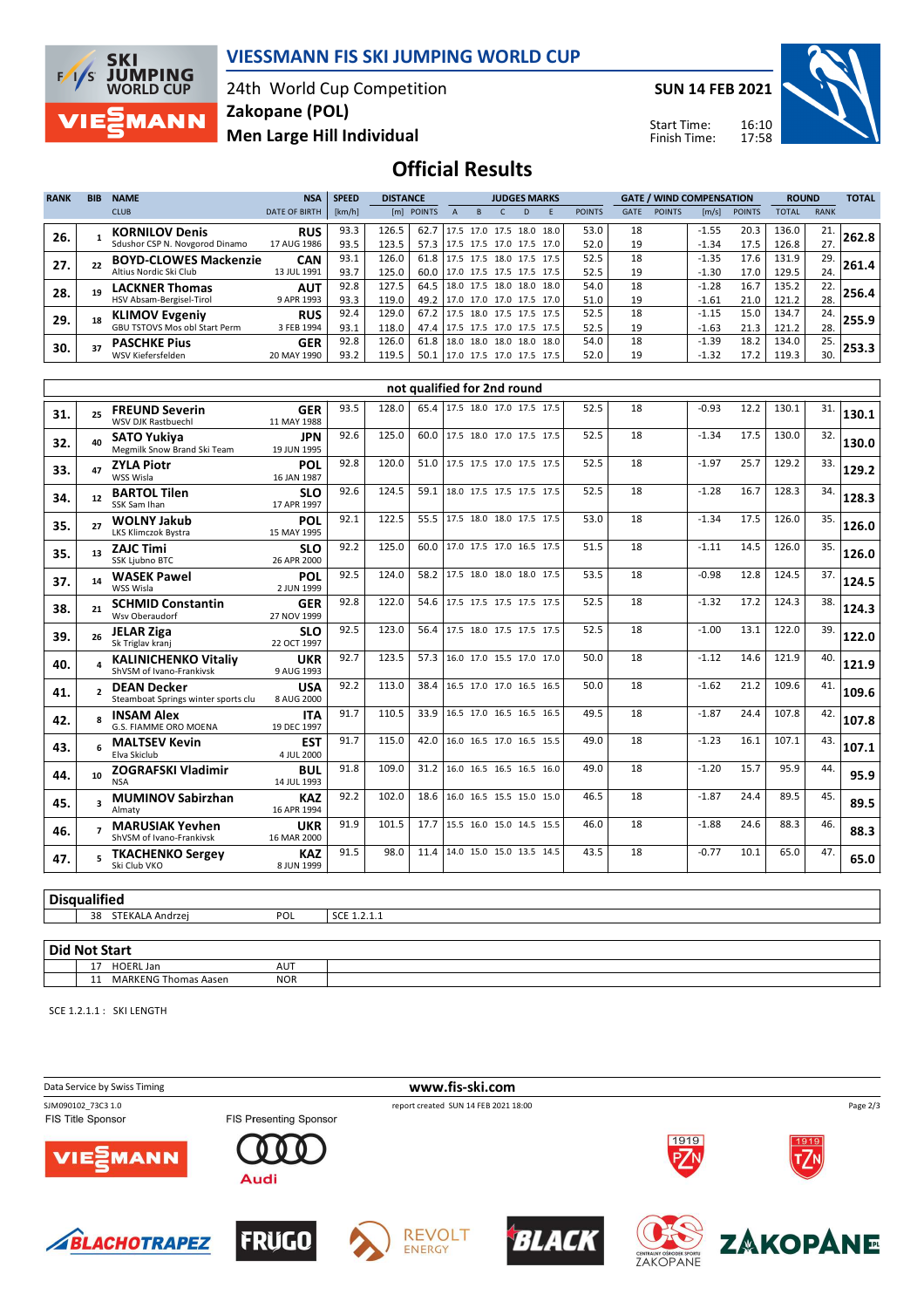

#### **VIESSMANN FIS SKI JUMPING WORLD CUP**

24th World Cup Competition **Men Large Hill Individual Zakopane (POL)**

**SUN 14 FEB 2021**

Start Time: Finish Time:



**Official Results**

| <b>RANK</b> | <b>BIB</b> | <b>NAME</b>                    | <b>NSA</b>           | <b>SPEED</b> | <b>DISTANCE</b> |            |      |                          |  |    | <b>JUDGES MARKS</b>        |               | <b>GATE / WIND COMPENSATION</b> |               |         |               | <b>ROUND</b> |             | <b>TOTAL</b> |
|-------------|------------|--------------------------------|----------------------|--------------|-----------------|------------|------|--------------------------|--|----|----------------------------|---------------|---------------------------------|---------------|---------|---------------|--------------|-------------|--------------|
|             |            | <b>CLUB</b>                    | <b>DATE OF BIRTH</b> | [km/h]       |                 | [m] POINTS |      |                          |  | D. |                            | <b>POINTS</b> | <b>GATE</b>                     | <b>POINTS</b> | [m/s]   | <b>POINTS</b> | TOTAL        | <b>RANK</b> |              |
| 26.         |            | <b>KORNILOV Denis</b>          | <b>RUS</b>           | 93.3         | 126.5           | 62.7       |      | 17.5 17.0 17.5 18.0      |  |    | 18.0                       | 53.0          | 18                              |               | $-1.55$ | 20.3          | 136.0        | 21.         | 262.8        |
|             |            | Sdushor CSP N. Novgorod Dinamo | 17 AUG 1986          | 93.5         | 123.5           | 57.3       |      |                          |  |    | 17.5 17.5 17.0 17.5 17.0   | 52.0          | 19                              |               | $-1.34$ | 17.5          | 126.8        | 27.         |              |
| 27.         |            | <b>BOYD-CLOWES Mackenzie</b>   | <b>CAN</b>           | 93.1         | 126.0           | 61.8       |      |                          |  |    | 17.5 17.5 18.0 17.5 17.5   | 52.5          | 18                              |               | $-1.35$ | 17.6          | 131.9        | 29.         | 261.4        |
|             |            | Altius Nordic Ski Club         | 13 JUL 1991          | 93.7         | 125.0           | 60.0       |      | 17.0 17.5 17.5 17.5 17.5 |  |    |                            | 52.5          | 19                              |               | $-1.30$ | 17.0          | 129.5        | 24.         |              |
| 28.         |            | <b>LACKNER Thomas</b>          | <b>AUT</b>           | 92.8         | 127.5           | 64.5       |      | 18.0 17.5 18.0 18.0      |  |    | 18.0                       | 54.0          | 18                              |               | $-1.28$ | 16.7          | 135.2        | 22.         | 256.4        |
|             |            | HSV Absam-Bergisel-Tirol       | 9 APR 1993           | 93.3         | 119.0           | 49.2       |      |                          |  |    | 17.0 17.0 17.0 17.5 17.0   | 51.0          | 19                              |               | $-1.61$ | 21.0          | 121.2        | 28.         |              |
| 29.         |            | <b>KLIMOV Evgeniy</b>          | <b>RUS</b>           | 92.4         | 129.0           | 67.2       |      |                          |  |    | $17.5$ 18.0 17.5 17.5 17.5 | 52.5          | 18                              |               | $-1.15$ | 15.0          | 134.7        | 24.         | 255.9        |
|             |            | GBU TSTOVS Mos obl Start Perm  | 3 FEB 1994           | 93.1         | 118.0           | 47.4       |      | 17.5 17.5 17.0 17.5      |  |    | 17.5                       | 52.5          | 19                              |               | $-1.63$ | 21.3          | 121.2        | 28.         |              |
| 30.         |            | <b>PASCHKE Pius</b>            | <b>GER</b>           | 92.8         | 126.0           | 61.8       | 18.0 | 18.0 18.0 18.0           |  |    | 18.0                       | 54.0          | 18                              |               | $-1.39$ | 18.2          | 134.0        | 25.         | 253.3        |
|             |            | WSV Kiefersfelden              | 20 MAY 1990          | 93.2         | 119.5           | 50.1       |      |                          |  |    | 17.0 17.5 17.0 17.5 17.5   | 52.0          | 19                              |               | $-1.32$ | 17.2          | 119.3        | 30.         |              |

|     |              |                                                           |                           |      |       |      | not qualified for 2nd round   |  |      |    |         |      |       |     |       |
|-----|--------------|-----------------------------------------------------------|---------------------------|------|-------|------|-------------------------------|--|------|----|---------|------|-------|-----|-------|
| 31. | 25           | <b>FREUND Severin</b><br>WSV DJK Rastbuechl               | <b>GER</b><br>11 MAY 1988 | 93.5 | 128.0 |      | 65.4 17.5 18.0 17.0 17.5 17.5 |  | 52.5 | 18 | $-0.93$ | 12.2 | 130.1 | 31. | 130.1 |
| 32. | 40           | <b>SATO Yukiva</b><br>Megmilk Snow Brand Ski Team         | <b>JPN</b><br>19 JUN 1995 | 92.6 | 125.0 | 60.0 | 17.5 18.0 17.0 17.5 17.5      |  | 52.5 | 18 | $-1.34$ | 17.5 | 130.0 | 32. | 130.0 |
| 33. | 47           | <b>ZYLA Piotr</b><br>WSS Wisla                            | POL<br>16 JAN 1987        | 92.8 | 120.0 | 51.0 | 17.5 17.5 17.0 17.5 17.5      |  | 52.5 | 18 | $-1.97$ | 25.7 | 129.2 | 33. | 129.2 |
| 34. | 12           | <b>BARTOL Tilen</b><br>SSK Sam Ihan                       | <b>SLO</b><br>17 APR 1997 | 92.6 | 124.5 | 59.1 | 18.0 17.5 17.5 17.5 17.5      |  | 52.5 | 18 | $-1.28$ | 16.7 | 128.3 | 34. | 128.3 |
| 35. | 27           | <b>WOLNY Jakub</b><br>LKS Klimczok Bystra                 | POL<br>15 MAY 1995        | 92.1 | 122.5 | 55.5 | 17.5 18.0 18.0 17.5 17.5      |  | 53.0 | 18 | $-1.34$ | 17.5 | 126.0 | 35. | 126.0 |
| 35. | 13           | <b>ZAJC Timi</b><br>SSK Ljubno BTC                        | <b>SLO</b><br>26 APR 2000 | 92.2 | 125.0 | 60.0 | 17.0 17.5 17.0 16.5 17.5      |  | 51.5 | 18 | $-1.11$ | 14.5 | 126.0 | 35. | 126.0 |
| 37. | 14           | <b>WASEK Pawel</b><br>WSS Wisla                           | POL<br>2 JUN 1999         | 92.5 | 124.0 | 58.2 | 17.5 18.0 18.0 18.0 17.5      |  | 53.5 | 18 | $-0.98$ | 12.8 | 124.5 | 37. | 124.5 |
| 38. | 21           | <b>SCHMID Constantin</b><br>Wsv Oberaudorf                | <b>GER</b><br>27 NOV 1999 | 92.8 | 122.0 | 54.6 | 17.5 17.5 17.5 17.5 17.5      |  | 52.5 | 18 | $-1.32$ | 17.2 | 124.3 | 38. | 124.3 |
| 39. | 26           | <b>JELAR Ziga</b><br>Sk Triglav kranj                     | <b>SLO</b><br>22 OCT 1997 | 92.5 | 123.0 | 56.4 | 17.5 18.0 17.5 17.5 17.5      |  | 52.5 | 18 | $-1.00$ | 13.1 | 122.0 | 39. | 122.0 |
| 40. |              | <b>KALINICHENKO Vitaliv</b><br>ShVSM of Ivano-Frankivsk   | <b>UKR</b><br>9 AUG 1993  | 92.7 | 123.5 | 57.3 | 16.0 17.0 15.5 17.0 17.0      |  | 50.0 | 18 | $-1.12$ | 14.6 | 121.9 | 40. | 121.9 |
| 41. |              | <b>DEAN Decker</b><br>Steamboat Springs winter sports clu | <b>USA</b><br>8 AUG 2000  | 92.2 | 113.0 | 38.4 | 16.5 17.0 17.0 16.5 16.5      |  | 50.0 | 18 | $-1.62$ | 21.2 | 109.6 | 41. | 109.6 |
| 42. |              | <b>INSAM Alex</b><br>G.S. FIAMME ORO MOENA                | <b>ITA</b><br>19 DEC 1997 | 91.7 | 110.5 | 33.9 | 16.5 17.0 16.5 16.5 16.5      |  | 49.5 | 18 | $-1.87$ | 24.4 | 107.8 | 42. | 107.8 |
| 43. |              | <b>MALTSEV Kevin</b><br>Elva Skiclub                      | <b>EST</b><br>4 JUL 2000  | 91.7 | 115.0 | 42.0 | 16.0 16.5 17.0 16.5 15.5      |  | 49.0 | 18 | $-1.23$ | 16.1 | 107.1 | 43. | 107.1 |
| 44. | 10           | <b>ZOGRAFSKI Vladimir</b><br><b>NSA</b>                   | <b>BUL</b><br>14 JUL 1993 | 91.8 | 109.0 | 31.2 | 16.0 16.5 16.5 16.5 16.0      |  | 49.0 | 18 | $-1.20$ | 15.7 | 95.9  | 44. | 95.9  |
| 45. | $\mathbf{z}$ | <b>MUMINOV Sabirzhan</b><br>Almaty                        | <b>KAZ</b><br>16 APR 1994 | 92.2 | 102.0 | 18.6 | 16.0 16.5 15.5 15.0 15.0      |  | 46.5 | 18 | $-1.87$ | 24.4 | 89.5  | 45. | 89.5  |
| 46. |              | <b>MARUSIAK Yevhen</b><br>ShVSM of Ivano-Frankivsk        | <b>UKR</b><br>16 MAR 2000 | 91.9 | 101.5 | 17.7 | 15.5 16.0 15.0 14.5 15.5      |  | 46.0 | 18 | $-1.88$ | 24.6 | 88.3  | 46. | 88.3  |
| 47. |              | <b>TKACHENKO Sergey</b><br>Ski Club VKO                   | <b>KAZ</b><br>8 JUN 1999  | 91.5 | 98.0  | 11.4 | 14.0 15.0 15.0 13.5 14.5      |  | 43.5 | 18 | $-0.77$ | 10.1 | 65.0  | 47. | 65.0  |

#### **Disqualified**

**38 STEKALA Andrzej POL SCE 1.2.1.1** 

#### **Did Not Start**

17 HOERL Jan AUT 11 MARKENG Thomas Aasen NOR

SCE 1.2.1.1 : SKI LENGTH